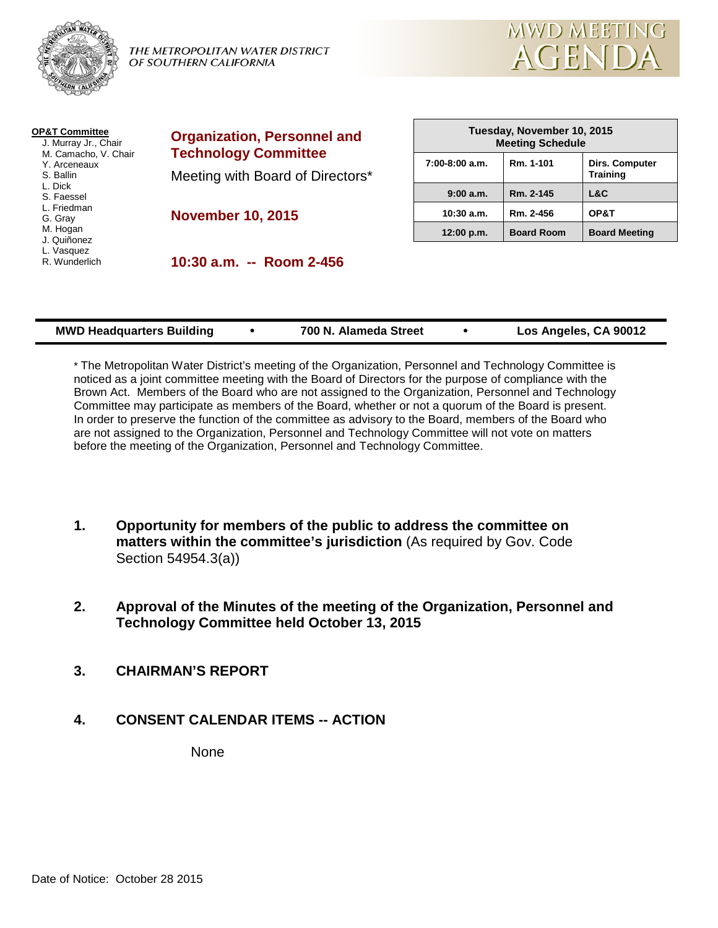

THE METROPOLITAN WATER DISTRICT OF SOUTHERN CALIFORNIA



| <b>OP&amp;T Committee</b><br>J. Murray Jr., Chair<br>M. Camacho, V. Chair<br>Y. Arceneaux<br>S. Ballin<br>L. Dick<br>S. Faessel | <b>Organization, Personnel and</b><br><b>Technology Committee</b><br>Meeting with Board of Directors*<br><b>November 10, 2015</b> | Tuesday, November 10, 2015<br><b>Meeting Schedule</b> |                   |                                          |
|---------------------------------------------------------------------------------------------------------------------------------|-----------------------------------------------------------------------------------------------------------------------------------|-------------------------------------------------------|-------------------|------------------------------------------|
|                                                                                                                                 |                                                                                                                                   | $7:00-8:00$ a.m.                                      | Rm. 1-101         | <b>Dirs. Computer</b><br><b>Training</b> |
|                                                                                                                                 |                                                                                                                                   | 9:00 a.m.                                             | Rm. 2-145         | L&C                                      |
| L. Friedman<br>G. Gray                                                                                                          |                                                                                                                                   | $10:30$ a.m.                                          | Rm. 2-456         | OP&T                                     |
| M. Hogan<br>J. Quiñonez                                                                                                         |                                                                                                                                   | 12:00 p.m.                                            | <b>Board Room</b> | <b>Board Meeting</b>                     |
| L. Vasquez<br>R. Wunderlich                                                                                                     | 10:30 a.m. -- Room 2-456                                                                                                          |                                                       |                   |                                          |

| <b>MWD Headquarters Building</b> | 700 N. Alameda Street | Los Angeles, CA 90012 |
|----------------------------------|-----------------------|-----------------------|
|                                  |                       |                       |

\* The Metropolitan Water District's meeting of the Organization, Personnel and Technology Committee is noticed as a joint committee meeting with the Board of Directors for the purpose of compliance with the Brown Act. Members of the Board who are not assigned to the Organization, Personnel and Technology Committee may participate as members of the Board, whether or not a quorum of the Board is present. In order to preserve the function of the committee as advisory to the Board, members of the Board who are not assigned to the Organization, Personnel and Technology Committee will not vote on matters before the meeting of the Organization, Personnel and Technology Committee.

- **1. Opportunity for members of the public to address the committee on matters within the committee's jurisdiction** (As required by Gov. Code Section 54954.3(a))
- **2. Approval of the Minutes of the meeting of the Organization, Personnel and Technology Committee held October 13, 2015**
- **3. CHAIRMAN'S REPORT**
- **4. CONSENT CALENDAR ITEMS -- ACTION**

None